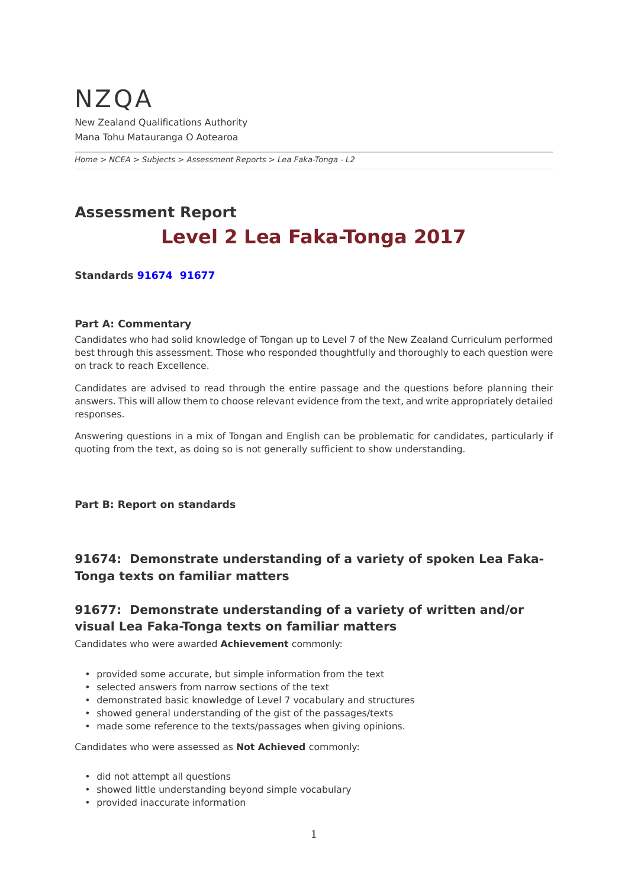## <span id="page-0-0"></span>NZQA New Zealand Qualifications Authority Mana Tohu Matauranga O Aotearoa

*[Home](https://www-test5.nzqa.govt.nz/home) > [NCEA](https://www-test5.nzqa.govt.nz/ncea/) > [Subjects](https://www-test5.nzqa.govt.nz/ncea/subjects/) > [Assessment Reports](https://www-test5.nzqa.govt.nz/ncea/subjects/assessment-reports/) > Lea Faka-Tonga - L2*

# **Assessment Report Level 2 Lea Faka-Tonga 2017**

**Standards [91674](https://www-test5.nzqa.govt.nz/#91674)  [91677](https://www-test5.nzqa.govt.nz/#91677)**

### **Part A: Commentary**

Candidates who had solid knowledge of Tongan up to Level 7 of the New Zealand Curriculum performed best through this assessment. Those who responded thoughtfully and thoroughly to each question were on track to reach Excellence.

Candidates are advised to read through the entire passage and the questions before planning their answers. This will allow them to choose relevant evidence from the text, and write appropriately detailed responses.

Answering questions in a mix of Tongan and English can be problematic for candidates, particularly if quoting from the text, as doing so is not generally sufficient to show understanding.

#### **Part B: Report on standards**

## **91674: Demonstrate understanding of a variety of spoken Lea Faka-Tonga texts on familiar matters**

## **91677: Demonstrate understanding of a variety of written and/or visual Lea Faka-Tonga texts on familiar matters**

Candidates who were awarded **Achievement** commonly:

- provided some accurate, but simple information from the text
- selected answers from narrow sections of the text
- demonstrated basic knowledge of Level 7 vocabulary and structures
- showed general understanding of the gist of the passages/texts
- made some reference to the texts/passages when giving opinions.

#### Candidates who were assessed as **Not Achieved** commonly:

- did not attempt all questions
- showed little understanding beyond simple vocabulary
- provided inaccurate information